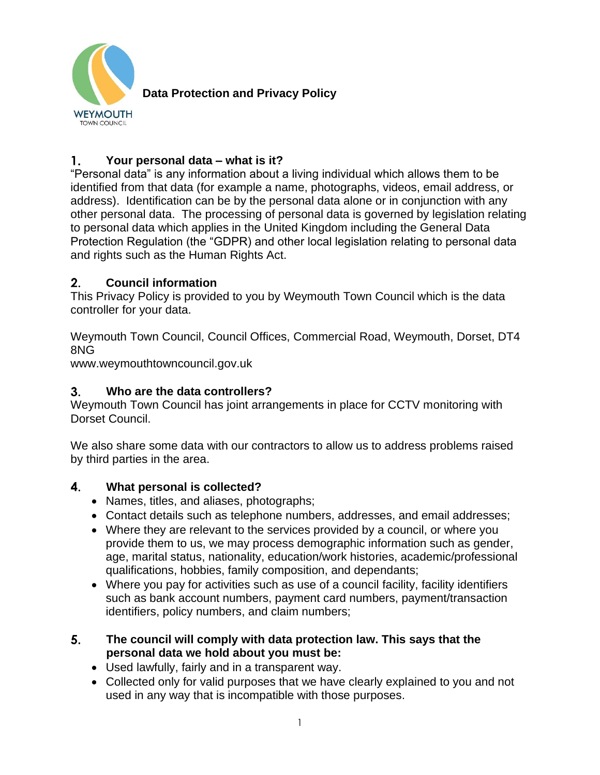

**Data Protection and Privacy Policy**

### 1. **Your personal data – what is it?**

"Personal data" is any information about a living individual which allows them to be identified from that data (for example a name, photographs, videos, email address, or address). Identification can be by the personal data alone or in conjunction with any other personal data. The processing of personal data is governed by legislation relating to personal data which applies in the United Kingdom including the General Data Protection Regulation (the "GDPR) and other local legislation relating to personal data and rights such as the Human Rights Act.

### $2.$ **Council information**

This Privacy Policy is provided to you by Weymouth Town Council which is the data controller for your data.

Weymouth Town Council, Council Offices, Commercial Road, Weymouth, Dorset, DT4 8NG

www.weymouthtowncouncil.gov.uk

### $3.$ **Who are the data controllers?**

Weymouth Town Council has joint arrangements in place for CCTV monitoring with Dorset Council.

We also share some data with our contractors to allow us to address problems raised by third parties in the area.

#### $4.$ **What personal is collected?**

- Names, titles, and aliases, photographs;
- Contact details such as telephone numbers, addresses, and email addresses;
- Where they are relevant to the services provided by a council, or where you provide them to us, we may process demographic information such as gender, age, marital status, nationality, education/work histories, academic/professional qualifications, hobbies, family composition, and dependants;
- Where you pay for activities such as use of a council facility, facility identifiers such as bank account numbers, payment card numbers, payment/transaction identifiers, policy numbers, and claim numbers;
- 5. **The council will comply with data protection law. This says that the personal data we hold about you must be:**
	- Used lawfully, fairly and in a transparent way.
	- Collected only for valid purposes that we have clearly explained to you and not used in any way that is incompatible with those purposes.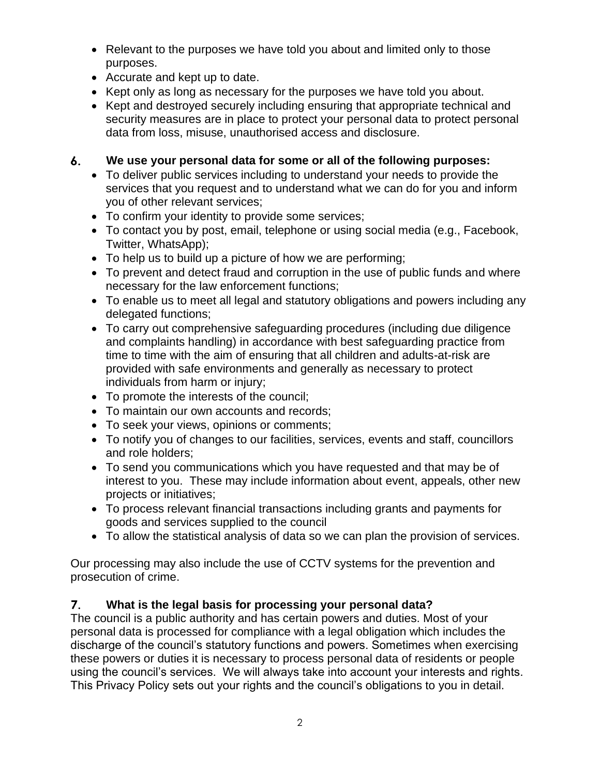- Relevant to the purposes we have told you about and limited only to those purposes.
- Accurate and kept up to date.
- Kept only as long as necessary for the purposes we have told you about.
- Kept and destroyed securely including ensuring that appropriate technical and security measures are in place to protect your personal data to protect personal data from loss, misuse, unauthorised access and disclosure.

### 6. **We use your personal data for some or all of the following purposes:**

- To deliver public services including to understand your needs to provide the services that you request and to understand what we can do for you and inform you of other relevant services;
- To confirm your identity to provide some services;
- To contact you by post, email, telephone or using social media (e.g., Facebook, Twitter, WhatsApp);
- To help us to build up a picture of how we are performing;
- To prevent and detect fraud and corruption in the use of public funds and where necessary for the law enforcement functions;
- To enable us to meet all legal and statutory obligations and powers including any delegated functions;
- To carry out comprehensive safeguarding procedures (including due diligence and complaints handling) in accordance with best safeguarding practice from time to time with the aim of ensuring that all children and adults-at-risk are provided with safe environments and generally as necessary to protect individuals from harm or injury;
- To promote the interests of the council;
- To maintain our own accounts and records;
- To seek your views, opinions or comments;
- To notify you of changes to our facilities, services, events and staff, councillors and role holders;
- To send you communications which you have requested and that may be of interest to you. These may include information about event, appeals, other new projects or initiatives;
- To process relevant financial transactions including grants and payments for goods and services supplied to the council
- To allow the statistical analysis of data so we can plan the provision of services.

Our processing may also include the use of CCTV systems for the prevention and prosecution of crime.

## $7.$ **What is the legal basis for processing your personal data?**

The council is a public authority and has certain powers and duties. Most of your personal data is processed for compliance with a legal obligation which includes the discharge of the council's statutory functions and powers. Sometimes when exercising these powers or duties it is necessary to process personal data of residents or people using the council's services. We will always take into account your interests and rights. This Privacy Policy sets out your rights and the council's obligations to you in detail.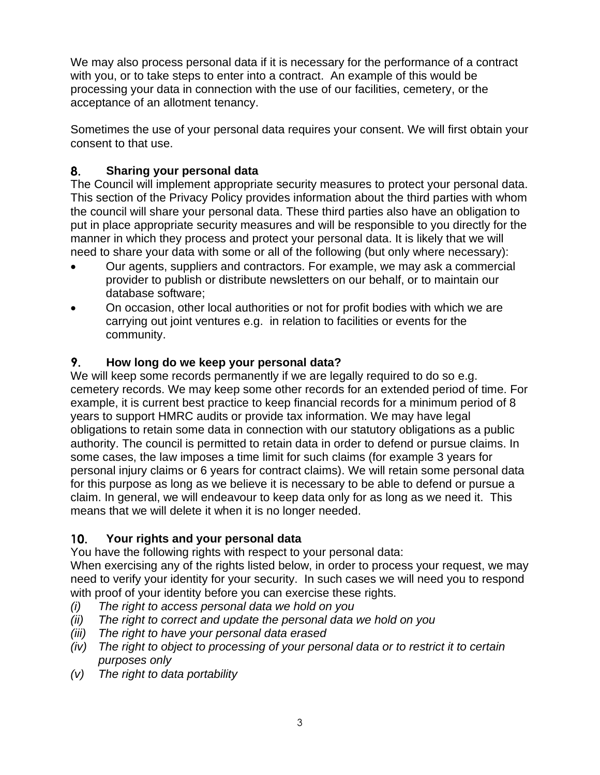We may also process personal data if it is necessary for the performance of a contract with you, or to take steps to enter into a contract. An example of this would be processing your data in connection with the use of our facilities, cemetery, or the acceptance of an allotment tenancy.

Sometimes the use of your personal data requires your consent. We will first obtain your consent to that use.

# 8. **Sharing your personal data**

The Council will implement appropriate security measures to protect your personal data. This section of the Privacy Policy provides information about the third parties with whom the council will share your personal data. These third parties also have an obligation to put in place appropriate security measures and will be responsible to you directly for the manner in which they process and protect your personal data. It is likely that we will need to share your data with some or all of the following (but only where necessary):

- Our agents, suppliers and contractors. For example, we may ask a commercial provider to publish or distribute newsletters on our behalf, or to maintain our database software;
- On occasion, other local authorities or not for profit bodies with which we are carrying out joint ventures e.g. in relation to facilities or events for the community.

# 9. **How long do we keep your personal data?**

We will keep some records permanently if we are legally required to do so e.g. cemetery records. We may keep some other records for an extended period of time. For example, it is current best practice to keep financial records for a minimum period of 8 years to support HMRC audits or provide tax information. We may have legal obligations to retain some data in connection with our statutory obligations as a public authority. The council is permitted to retain data in order to defend or pursue claims. In some cases, the law imposes a time limit for such claims (for example 3 years for personal injury claims or 6 years for contract claims). We will retain some personal data for this purpose as long as we believe it is necessary to be able to defend or pursue a claim. In general, we will endeavour to keep data only for as long as we need it. This means that we will delete it when it is no longer needed.

## $10.$ **Your rights and your personal data**

You have the following rights with respect to your personal data:

When exercising any of the rights listed below, in order to process your request, we may need to verify your identity for your security. In such cases we will need you to respond with proof of your identity before you can exercise these rights.

- *(i) The right to access personal data we hold on you*
- *(ii) The right to correct and update the personal data we hold on you*
- *(iii) The right to have your personal data erased*
- *(iv) The right to object to processing of your personal data or to restrict it to certain purposes only*
- *(v) The right to data portability*